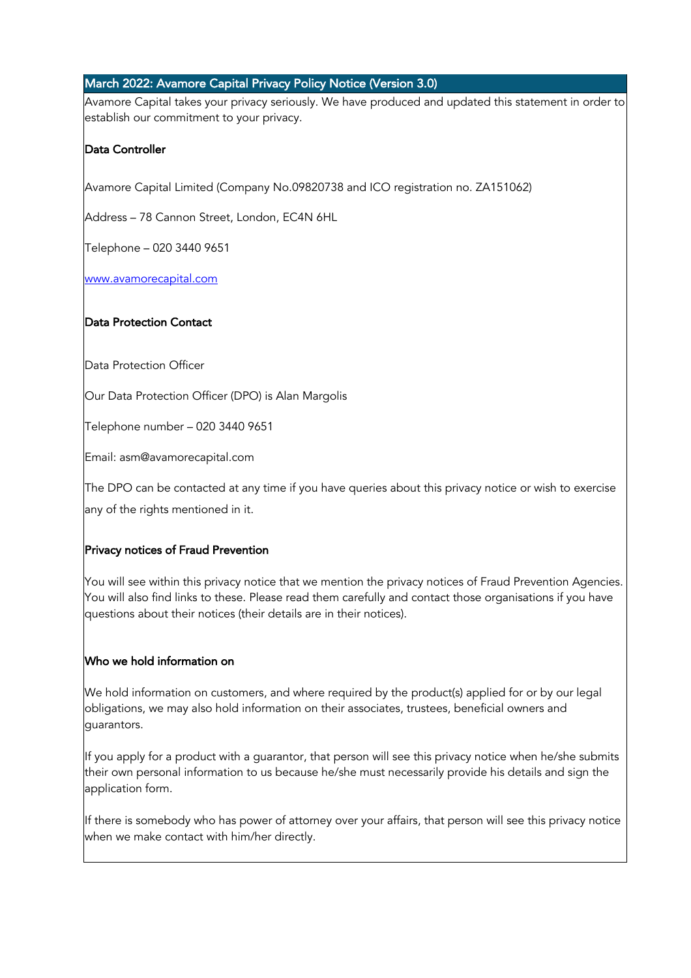## March 2022: Avamore Capital Privacy Policy Notice (Version 3.0)

Avamore Capital takes your privacy seriously. We have produced and updated this statement in order to establish our commitment to your privacy.

## Data Controller

Avamore Capital Limited (Company No.09820738 and ICO registration no. ZA151062)

Address – 78 Cannon Street, London, EC4N 6HL

Telephone – 020 3440 9651

www.avamorecapital.com

## Data Protection Contact

Data Protection Officer

Our Data Protection Officer (DPO) is Alan Margolis

Telephone number – 020 3440 9651

Email: asm@avamorecapital.com

The DPO can be contacted at any time if you have queries about this privacy notice or wish to exercise

any of the rights mentioned in it.

#### Privacy notices of Fraud Prevention

You will see within this privacy notice that we mention the privacy notices of Fraud Prevention Agencies. You will also find links to these. Please read them carefully and contact those organisations if you have questions about their notices (their details are in their notices).

## Who we hold information on

We hold information on customers, and where required by the product(s) applied for or by our legal obligations, we may also hold information on their associates, trustees, beneficial owners and guarantors.

If you apply for a product with a guarantor, that person will see this privacy notice when he/she submits their own personal information to us because he/she must necessarily provide his details and sign the application form.

If there is somebody who has power of attorney over your affairs, that person will see this privacy notice when we make contact with him/her directly.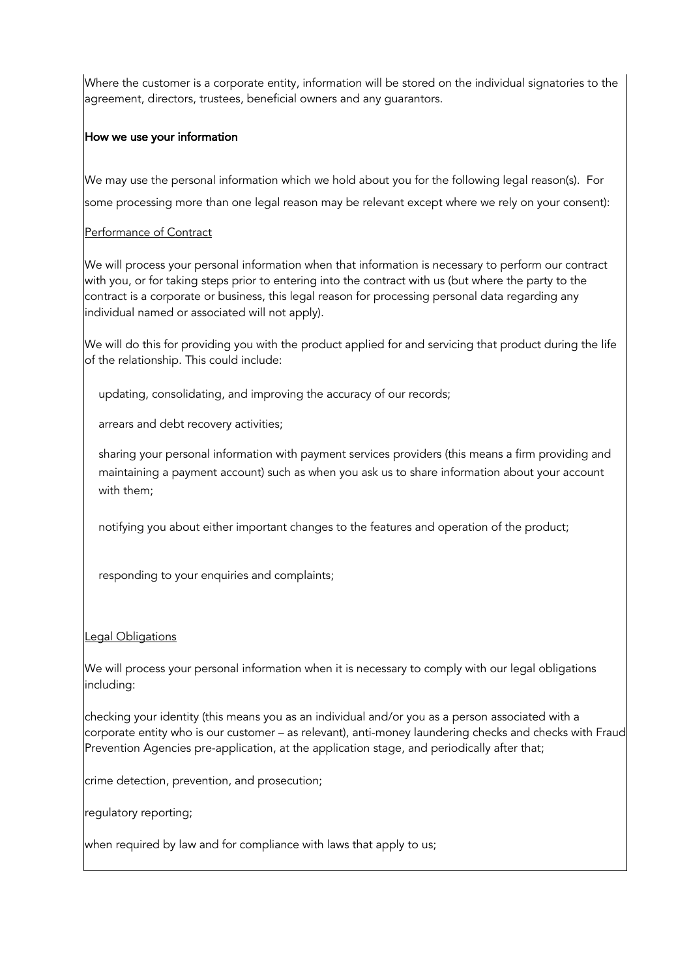Where the customer is a corporate entity, information will be stored on the individual signatories to the agreement, directors, trustees, beneficial owners and any guarantors.

#### How we use your information

We may use the personal information which we hold about you for the following legal reason(s). For some processing more than one legal reason may be relevant except where we rely on your consent):

#### Performance of Contract

We will process your personal information when that information is necessary to perform our contract with you, or for taking steps prior to entering into the contract with us (but where the party to the contract is a corporate or business, this legal reason for processing personal data regarding any individual named or associated will not apply).

We will do this for providing you with the product applied for and servicing that product during the life of the relationship. This could include:

• updating, consolidating, and improving the accuracy of our records;

arrears and debt recovery activities;

• sharing your personal information with payment services providers (this means a firm providing and maintaining a payment account) such as when you ask us to share information about your account with them;

notifying you about either important changes to the features and operation of the product;

responding to your enquiries and complaints;

#### Legal Obligations

We will process your personal information when it is necessary to comply with our legal obligations including:

checking your identity (this means you as an individual and/or you as a person associated with a corporate entity who is our customer – as relevant), anti-money laundering checks and checks with Fraud Prevention Agencies pre-application, at the application stage, and periodically after that;

crime detection, prevention, and prosecution;

regulatory reporting;

when required by law and for compliance with laws that apply to us;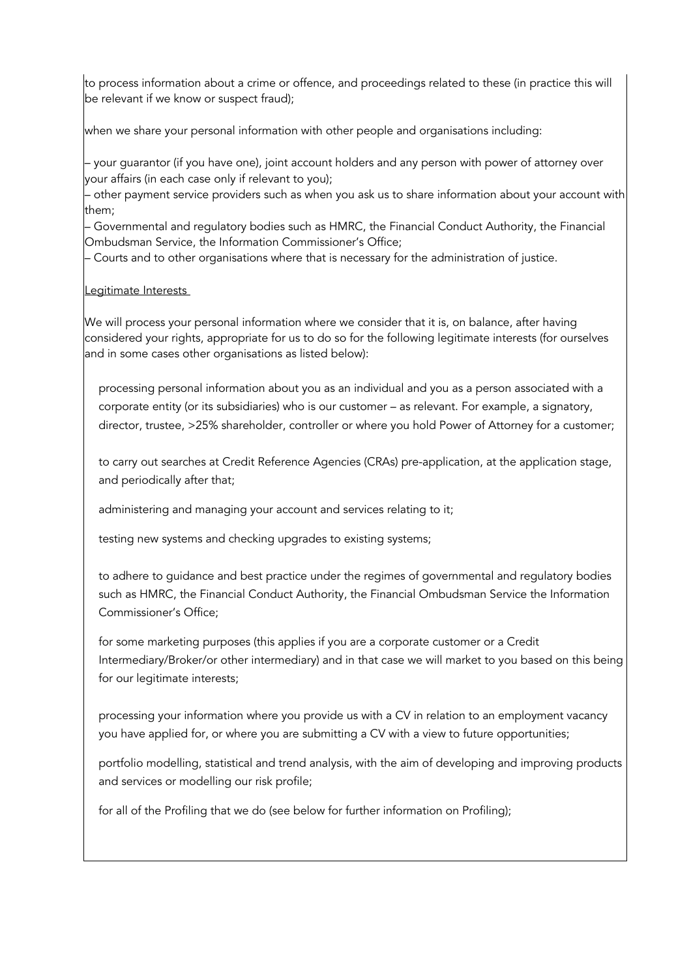to process information about a crime or offence, and proceedings related to these (in practice this will be relevant if we know or suspect fraud);

when we share your personal information with other people and organisations including:

– your guarantor (if you have one), joint account holders and any person with power of attorney over your affairs (in each case only if relevant to you);

– other payment service providers such as when you ask us to share information about your account with them;

– Governmental and regulatory bodies such as HMRC, the Financial Conduct Authority, the Financial Ombudsman Service, the Information Commissioner's Office;

– Courts and to other organisations where that is necessary for the administration of justice.

#### Legitimate Interests

We will process your personal information where we consider that it is, on balance, after having considered your rights, appropriate for us to do so for the following legitimate interests (for ourselves and in some cases other organisations as listed below):

• processing personal information about you as an individual and you as a person associated with a corporate entity (or its subsidiaries) who is our customer – as relevant. For example, a signatory, director, trustee, >25% shareholder, controller or where you hold Power of Attorney for a customer;

to carry out searches at Credit Reference Agencies (CRAs) pre-application, at the application stage, and periodically after that;

administering and managing your account and services relating to it;

testing new systems and checking upgrades to existing systems;

to adhere to guidance and best practice under the regimes of governmental and regulatory bodies such as HMRC, the Financial Conduct Authority, the Financial Ombudsman Service the Information Commissioner's Office;

for some marketing purposes (this applies if you are a corporate customer or a Credit Intermediary/Broker/or other intermediary) and in that case we will market to you based on this being for our legitimate interests;

processing your information where you provide us with a CV in relation to an employment vacancy you have applied for, or where you are submitting a CV with a view to future opportunities;

• portfolio modelling, statistical and trend analysis, with the aim of developing and improving products and services or modelling our risk profile;

for all of the Profiling that we do (see below for further information on Profiling);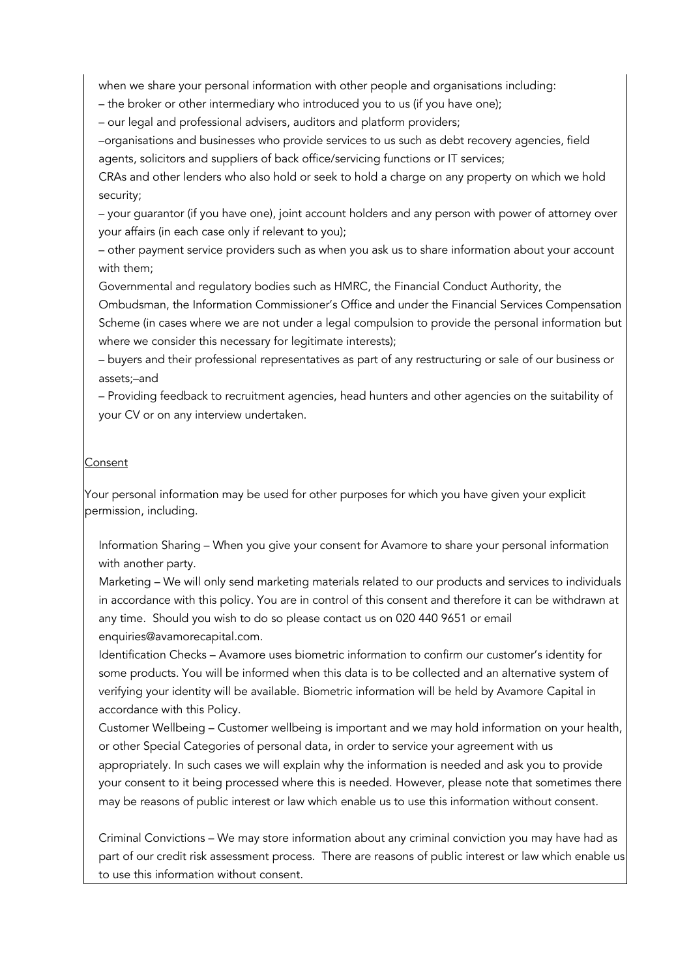• when we share your personal information with other people and organisations including:

– the broker or other intermediary who introduced you to us (if you have one);

– our legal and professional advisers, auditors and platform providers;

–organisations and businesses who provide services to us such as debt recovery agencies, field agents, solicitors and suppliers of back office/servicing functions or IT services;

CRAs and other lenders who also hold or seek to hold a charge on any property on which we hold security;

– your guarantor (if you have one), joint account holders and any person with power of attorney over your affairs (in each case only if relevant to you);

– other payment service providers such as when you ask us to share information about your account with them;

Governmental and regulatory bodies such as HMRC, the Financial Conduct Authority, the

Ombudsman, the Information Commissioner's Office and under the Financial Services Compensation Scheme (in cases where we are not under a legal compulsion to provide the personal information but where we consider this necessary for legitimate interests);

– buyers and their professional representatives as part of any restructuring or sale of our business or assets;–and

– Providing feedback to recruitment agencies, head hunters and other agencies on the suitability of your CV or on any interview undertaken.

#### Consent

Your personal information may be used for other purposes for which you have given your explicit permission, including.

• Information Sharing – When you give your consent for Avamore to share your personal information with another party.

• Marketing – We will only send marketing materials related to our products and services to individuals in accordance with this policy. You are in control of this consent and therefore it can be withdrawn at any time. Should you wish to do so please contact us on 020 440 9651 or email enquiries@avamorecapital.com.

Identification Checks - Avamore uses biometric information to confirm our customer's identity for some products. You will be informed when this data is to be collected and an alternative system of verifying your identity will be available. Biometric information will be held by Avamore Capital in accordance with this Policy.

• Customer Wellbeing – Customer wellbeing is important and we may hold information on your health, or other Special Categories of personal data, in order to service your agreement with us appropriately. In such cases we will explain why the information is needed and ask you to provide your consent to it being processed where this is needed. However, please note that sometimes there may be reasons of public interest or law which enable us to use this information without consent.

• Criminal Convictions – We may store information about any criminal conviction you may have had as part of our credit risk assessment process. There are reasons of public interest or law which enable us to use this information without consent.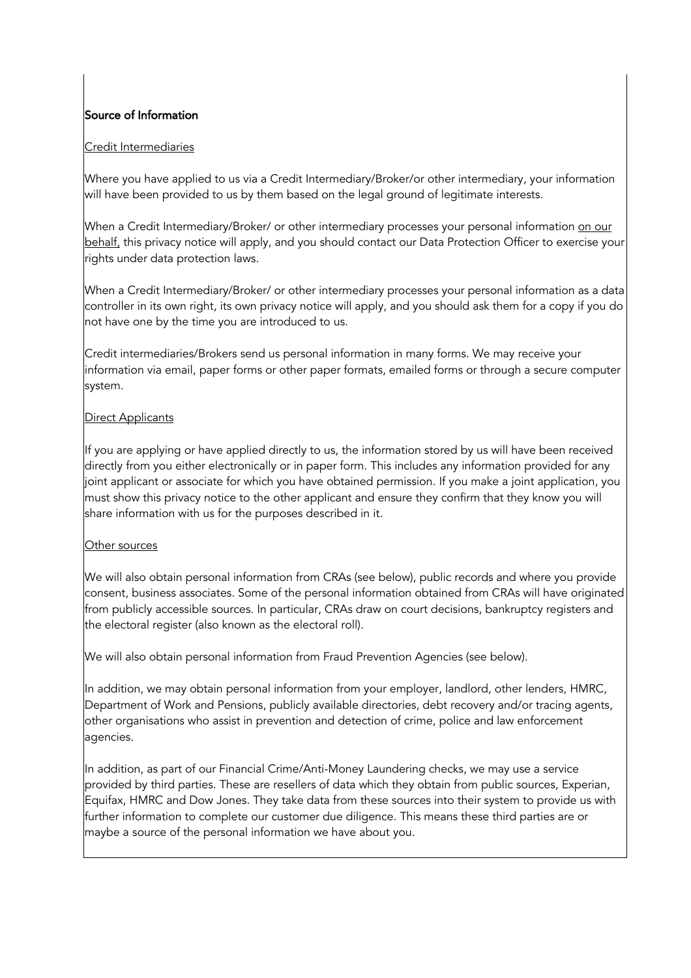# Source of Information

#### Credit Intermediaries

Where you have applied to us via a Credit Intermediary/Broker/or other intermediary, your information will have been provided to us by them based on the legal ground of legitimate interests.

When a Credit Intermediary/Broker/ or other intermediary processes your personal information on our behalf, this privacy notice will apply, and you should contact our Data Protection Officer to exercise your rights under data protection laws.

When a Credit Intermediary/Broker/ or other intermediary processes your personal information as a data controller in its own right, its own privacy notice will apply, and you should ask them for a copy if you do not have one by the time you are introduced to us.

Credit intermediaries/Brokers send us personal information in many forms. We may receive your information via email, paper forms or other paper formats, emailed forms or through a secure computer system.

#### **Direct Applicants**

If you are applying or have applied directly to us, the information stored by us will have been received directly from you either electronically or in paper form. This includes any information provided for any joint applicant or associate for which you have obtained permission. If you make a joint application, you must show this privacy notice to the other applicant and ensure they confirm that they know you will share information with us for the purposes described in it.

#### Other sources

We will also obtain personal information from CRAs (see below), public records and where you provide consent, business associates. Some of the personal information obtained from CRAs will have originated from publicly accessible sources. In particular, CRAs draw on court decisions, bankruptcy registers and the electoral register (also known as the electoral roll).

We will also obtain personal information from Fraud Prevention Agencies (see below).

In addition, we may obtain personal information from your employer, landlord, other lenders, HMRC, Department of Work and Pensions, publicly available directories, debt recovery and/or tracing agents, other organisations who assist in prevention and detection of crime, police and law enforcement agencies.

In addition, as part of our Financial Crime/Anti-Money Laundering checks, we may use a service provided by third parties. These are resellers of data which they obtain from public sources, Experian, Equifax, HMRC and Dow Jones. They take data from these sources into their system to provide us with further information to complete our customer due diligence. This means these third parties are or maybe a source of the personal information we have about you.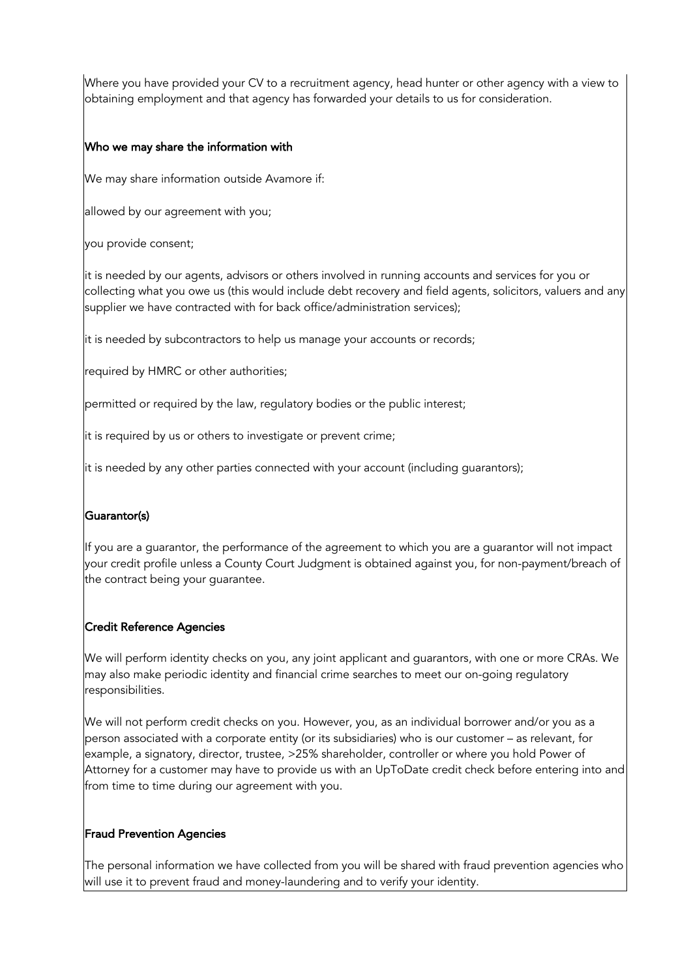Where you have provided your CV to a recruitment agency, head hunter or other agency with a view to obtaining employment and that agency has forwarded your details to us for consideration.

#### Who we may share the information with

We may share information outside Avamore if:

allowed by our agreement with you;

you provide consent;

it is needed by our agents, advisors or others involved in running accounts and services for you or collecting what you owe us (this would include debt recovery and field agents, solicitors, valuers and any supplier we have contracted with for back office/administration services);

it is needed by subcontractors to help us manage your accounts or records;

required by HMRC or other authorities;

permitted or required by the law, regulatory bodies or the public interest;

it is required by us or others to investigate or prevent crime;

it is needed by any other parties connected with your account (including guarantors);

#### Guarantor(s)

If you are a guarantor, the performance of the agreement to which you are a guarantor will not impact your credit profile unless a County Court Judgment is obtained against you, for non-payment/breach of the contract being your guarantee.

#### Credit Reference Agencies

We will perform identity checks on you, any joint applicant and guarantors, with one or more CRAs. We may also make periodic identity and financial crime searches to meet our on-going regulatory responsibilities.

We will not perform credit checks on you. However, you, as an individual borrower and/or you as a person associated with a corporate entity (or its subsidiaries) who is our customer – as relevant, for example, a signatory, director, trustee, >25% shareholder, controller or where you hold Power of Attorney for a customer may have to provide us with an UpToDate credit check before entering into and from time to time during our agreement with you.

#### Fraud Prevention Agencies

The personal information we have collected from you will be shared with fraud prevention agencies who will use it to prevent fraud and money-laundering and to verify your identity.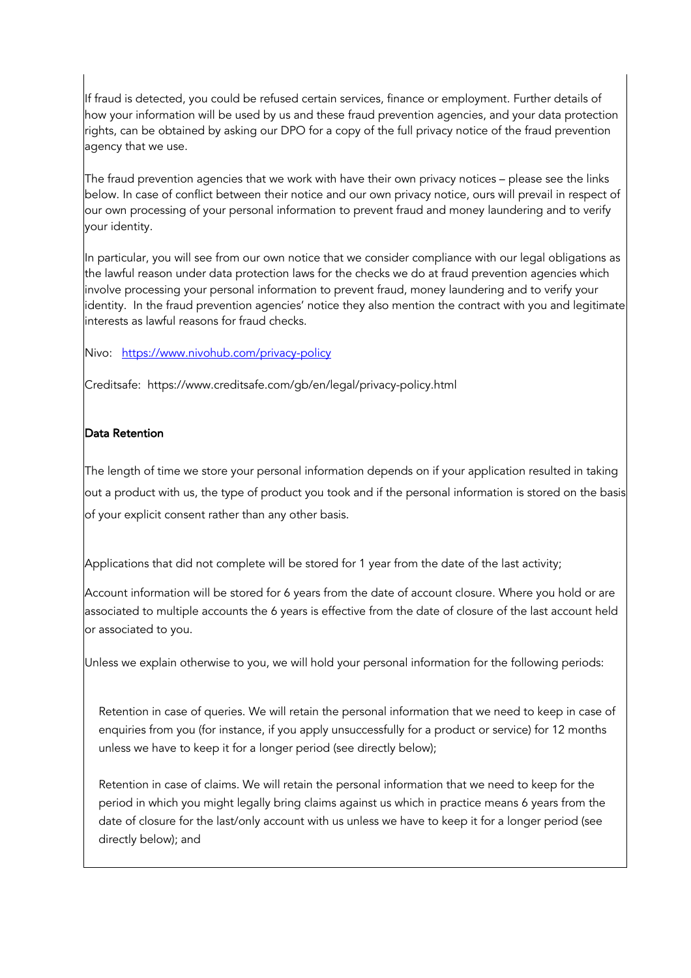If fraud is detected, you could be refused certain services, finance or employment. Further details of how your information will be used by us and these fraud prevention agencies, and your data protection rights, can be obtained by asking our DPO for a copy of the full privacy notice of the fraud prevention agency that we use.

The fraud prevention agencies that we work with have their own privacy notices – please see the links below. In case of conflict between their notice and our own privacy notice, ours will prevail in respect of our own processing of your personal information to prevent fraud and money laundering and to verify your identity.

In particular, you will see from our own notice that we consider compliance with our legal obligations as the lawful reason under data protection laws for the checks we do at fraud prevention agencies which involve processing your personal information to prevent fraud, money laundering and to verify your identity. In the fraud prevention agencies' notice they also mention the contract with you and legitimate interests as lawful reasons for fraud checks.

Nivo: https://www.nivohub.com/privacy-policy

Creditsafe: https://www.creditsafe.com/gb/en/legal/privacy-policy.html

#### Data Retention

The length of time we store your personal information depends on if your application resulted in taking out a product with us, the type of product you took and if the personal information is stored on the basis of your explicit consent rather than any other basis.

Applications that did not complete will be stored for 1 year from the date of the last activity;

Account information will be stored for 6 years from the date of account closure. Where you hold or are associated to multiple accounts the 6 years is effective from the date of closure of the last account held or associated to you.

Unless we explain otherwise to you, we will hold your personal information for the following periods:

Retention in case of queries. We will retain the personal information that we need to keep in case of enquiries from you (for instance, if you apply unsuccessfully for a product or service) for 12 months unless we have to keep it for a longer period (see directly below);

Retention in case of claims. We will retain the personal information that we need to keep for the period in which you might legally bring claims against us which in practice means 6 years from the date of closure for the last/only account with us unless we have to keep it for a longer period (see directly below); and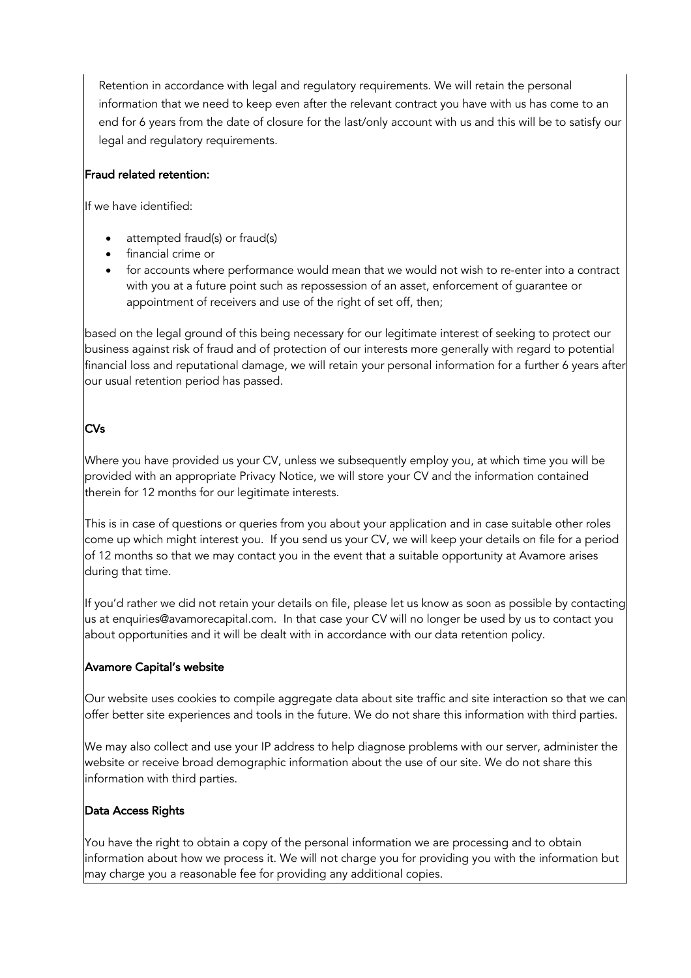Retention in accordance with legal and regulatory requirements. We will retain the personal information that we need to keep even after the relevant contract you have with us has come to an end for 6 years from the date of closure for the last/only account with us and this will be to satisfy our legal and regulatory requirements.

## Fraud related retention:

If we have identified:

- attempted fraud(s) or fraud(s)
- financial crime or
- for accounts where performance would mean that we would not wish to re-enter into a contract with you at a future point such as repossession of an asset, enforcement of guarantee or appointment of receivers and use of the right of set off, then;

based on the legal ground of this being necessary for our legitimate interest of seeking to protect our business against risk of fraud and of protection of our interests more generally with regard to potential financial loss and reputational damage, we will retain your personal information for a further 6 years after our usual retention period has passed.

# CVs

Where you have provided us your CV, unless we subsequently employ you, at which time you will be provided with an appropriate Privacy Notice, we will store your CV and the information contained therein for 12 months for our legitimate interests.

This is in case of questions or queries from you about your application and in case suitable other roles come up which might interest you. If you send us your CV, we will keep your details on file for a period of 12 months so that we may contact you in the event that a suitable opportunity at Avamore arises during that time.

If you'd rather we did not retain your details on file, please let us know as soon as possible by contacting us at enquiries@avamorecapital.com. In that case your CV will no longer be used by us to contact you about opportunities and it will be dealt with in accordance with our data retention policy.

#### Avamore Capital's website

Our website uses cookies to compile aggregate data about site traffic and site interaction so that we can offer better site experiences and tools in the future. We do not share this information with third parties.

We may also collect and use your IP address to help diagnose problems with our server, administer the website or receive broad demographic information about the use of our site. We do not share this information with third parties.

#### Data Access Rights

You have the right to obtain a copy of the personal information we are processing and to obtain information about how we process it. We will not charge you for providing you with the information but may charge you a reasonable fee for providing any additional copies.